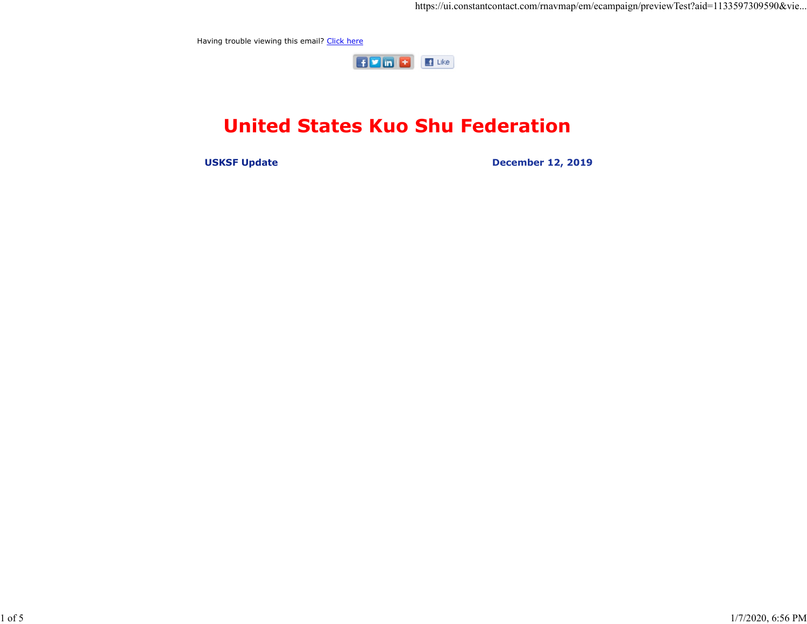Having trouble viewing this email? Click here



## United States Kuo Shu Federation

USKSF Update December 12, 2019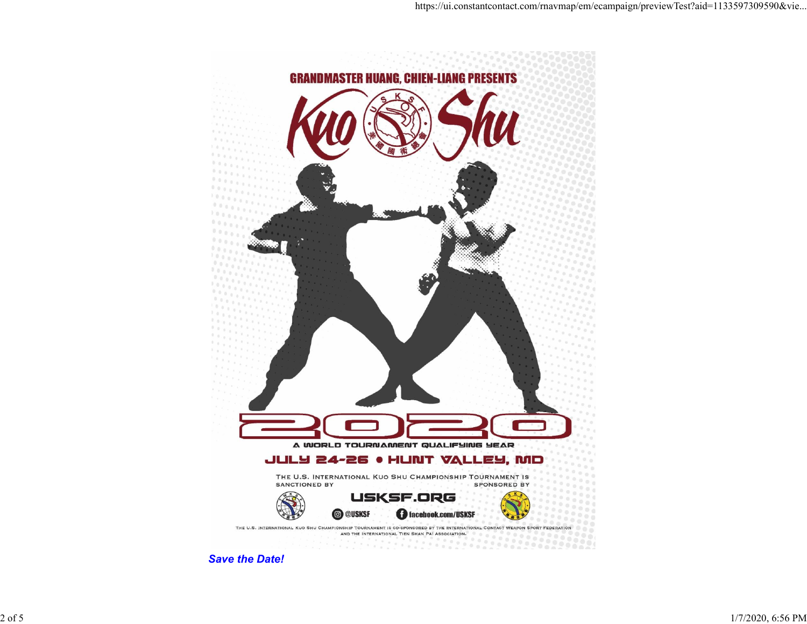

Save the Date!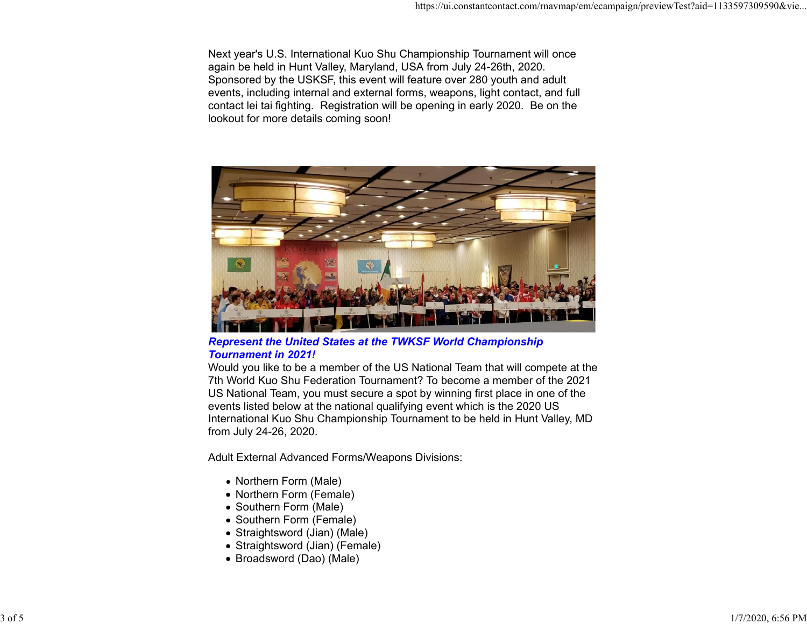Next year's U.S. International Kuo Shu Championship Tournament will once again be held in Hunt Valley, Maryland, USA from July 24-26th, 2020. Sponsored by the USKSF, this event will feature over 280 youth and adult events, including internal and external forms, weapons, light contact, and full contact lei tai fighting. Registration will be opening in early 2020. Be on the lookout for more details coming soon!



Represent the United States at the TWKSF World Championship Tournament in 2021!

Would you like to be a member of the US National Team that will compete at the 7th World Kuo Shu Federation Tournament? To become a member of the 2021 US National Team, you must secure a spot by winning first place in one of the events listed below at the national qualifying event which is the 2020 US International Kuo Shu Championship Tournament to be held in Hunt Valley, MD from July 24-26, 2020.

Adult External Advanced Forms/Weapons Divisions:

- Northern Form (Male)
- Northern Form (Female)
- Southern Form (Male)
- Southern Form (Female)
- Straightsword (Jian) (Male)
- Straightsword (Jian) (Female)
- Broadsword (Dao) (Male)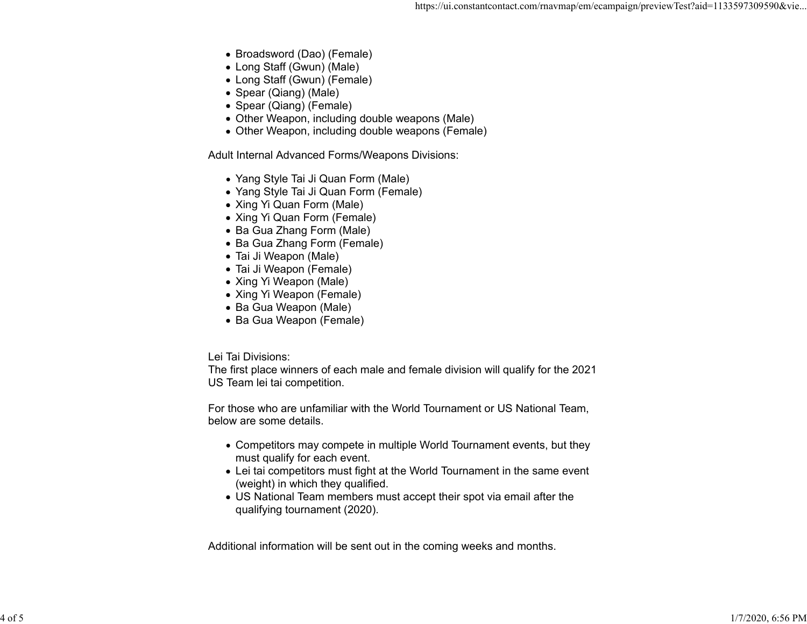- Broadsword (Dao) (Female)
- Long Staff (Gwun) (Male)
- Long Staff (Gwun) (Female)
- Spear (Qiang) (Male)
- Spear (Qiang) (Female)
- Other Weapon, including double weapons (Male)
- Other Weapon, including double weapons (Female)

Adult Internal Advanced Forms/Weapons Divisions:

- Yang Style Tai Ji Quan Form (Male)
- Yang Style Tai Ji Quan Form (Female)
- Xing Yi Quan Form (Male)
- Xing Yi Quan Form (Female)
- Ba Gua Zhang Form (Male)
- Ba Gua Zhang Form (Female)
- Tai Ji Weapon (Male)
- Tai Ji Weapon (Female)
- Xing Yi Weapon (Male)
- Xing Yi Weapon (Female)
- Ba Gua Weapon (Male)
- Ba Gua Weapon (Female)

Lei Tai Divisions:

The first place winners of each male and female division will qualify for the 2021 US Team lei tai competition.

For those who are unfamiliar with the World Tournament or US National Team, below are some details.

- Competitors may compete in multiple World Tournament events, but they must qualify for each event.
- Lei tai competitors must fight at the World Tournament in the same event (weight) in which they qualified.
- US National Team members must accept their spot via email after the qualifying tournament (2020).

Additional information will be sent out in the coming weeks and months.